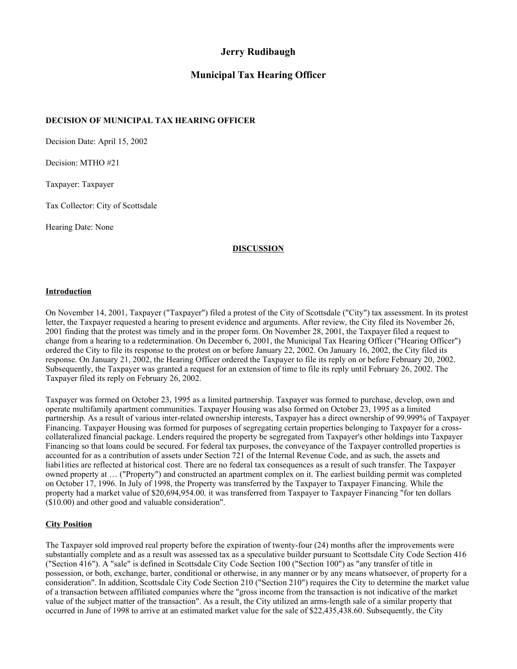# **Jerry Rudibaugh**

# **Municipal Tax Hearing Officer**

## **DECISION OF MUNICIPAL TAX HEARING OFFICER**

Decision Date: April 15, 2002

Decision: MTHO #21

Taxpayer: Taxpayer

Tax Collector: City of Scottsdale

Hearing Date: None

# **DISCUSSION**

#### **Introduction**

On November 14, 2001, Taxpayer ("Taxpayer") filed a protest of the City of Scottsdale ("City") tax assessment. In its protest letter, the Taxpayer requested a hearing to present evidence and arguments. After review, the City filed its November 26, 2001 finding that the protest was timely and in the proper form. On November 28, 2001, the Taxpayer filed a request to change from a hearing to a redetermination. On December 6, 2001, the Municipal Tax Hearing Officer ("Hearing Officer") ordered the City to file its response to the protest on or before January 22, 2002. On January 16, 2002, the City filed its response. On January 21, 2002, the Hearing Officer ordered the Taxpayer to file its reply on or before February 20, 2002. Subsequently, the Taxpayer was granted a request for an extension of time to file its reply until February 26, 2002. The Taxpayer filed its reply on February 26, 2002.

Taxpayer was formed on October 23, 1995 as a limited partnership. Taxpayer was formed to purchase, develop, own and operate multifamily apartment communities. Taxpayer Housing was also formed on October 23, 1995 as a limited partnership. As a result of various inter-related ownership interests, Taxpayer has a direct ownership of 99.999% of Taxpayer Financing. Taxpayer Housing was formed for purposes of segregating certain properties belonging to Taxpayer for a crosscollateralized financial package. Lenders required the property be segregated from Taxpayer's other holdings into Taxpayer Financing so that loans could be secured. For federal tax purposes, the conveyance of the Taxpayer controlled properties is accounted for as a contribution of assets under Section 721 of the Internal Revenue Code, and as such, the assets and liabi1ities are reflected at historical cost. There are no federal tax consequences as a result of such transfer. The Taxpayer owned property at … ("Property") and constructed an apartment complex on it. The earliest building permit was completed on October 17, 1996. In July of 1998, the Property was transferred by the Taxpayer to Taxpayer Financing. While the property had a market value of \$20,694,954.00*,* it was transferred from Taxpayer to Taxpayer Financing "for ten dollars (\$10.00) and other good and valuable consideration".

### **City Position**

The Taxpayer sold improved real property before the expiration of twenty-four (24) months after the improvements were substantially complete and as a result was assessed tax as a speculative builder pursuant to Scottsdale City Code Section 416 ("Section 416"). A "sale" is defined in Scottsdale City Code Section 100 ("Section 100") as "any transfer of title in possession, or both, exchange, barter, conditional or otherwise, in any manner or by any means whatsoever, of property for a consideration". In addition, Scottsdale City Code Section 210 ("Section 210") requires the City to determine the market value of a transaction between affiliated companies where the "gross income from the transaction is not indicative of the market value of the subject matter of the transaction". As a result, the City utilized an arms-length sale of a similar property that occurred in June of 1998 to arrive at an estimated market value for the sale of \$22,435,438.60. Subsequently, the City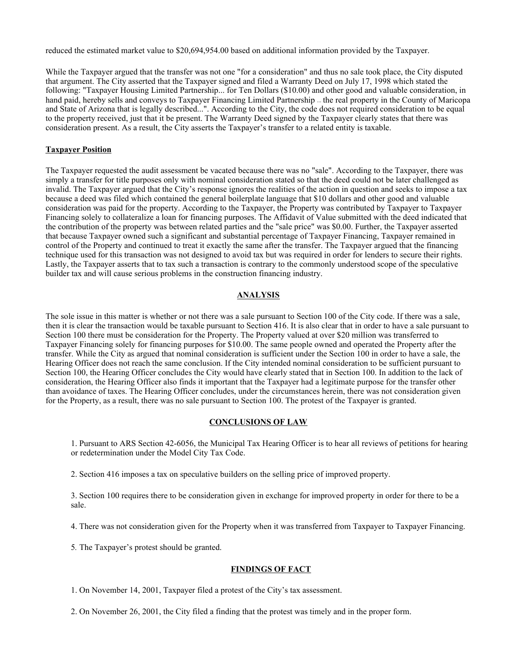reduced the estimated market value to \$20,694,954.00 based on additional information provided by the Taxpayer.

While the Taxpayer argued that the transfer was not one "for a consideration" and thus no sale took place, the City disputed that argument. The City asserted that the Taxpayer signed and filed a Warranty Deed on July 17, 1998 which stated the following: "Taxpayer Housing Limited Partnership... for Ten Dollars (\$10.00) and other good and valuable consideration, in hand paid, hereby sells and conveys to Taxpayer Financing Limited Partnership ... the real property in the County of Maricopa and State of Arizona that is legally described...". According to the City, the code does not required consideration to be equal to the property received, just that it be present. The Warranty Deed signed by the Taxpayer clearly states that there was consideration present. As a result, the City asserts the Taxpayer's transfer to a related entity is taxable.

#### **Taxpayer Position**

The Taxpayer requested the audit assessment be vacated because there was no "sale". According to the Taxpayer, there was simply a transfer for title purposes only with nominal consideration stated so that the deed could not be later challenged as invalid. The Taxpayer argued that the City's response ignores the realities of the action in question and seeks to impose a tax because a deed was filed which contained the general boilerplate language that \$10 dollars and other good and valuable consideration was paid for the property. According to the Taxpayer, the Property was contributed by Taxpayer to Taxpayer Financing solely to collateralize a loan for financing purposes. The Affidavit of Value submitted with the deed indicated that the contribution of the property was between related parties and the "sale price" was \$0.00. Further, the Taxpayer asserted that because Taxpayer owned such a significant and substantial percentage of Taxpayer Financing, Taxpayer remained in control of the Property and continued to treat it exactly the same after the transfer. The Taxpayer argued that the financing technique used for this transaction was not designed to avoid tax but was required in order for lenders to secure their rights. Lastly, the Taxpayer asserts that to tax such a transaction is contrary to the commonly understood scope of the speculative builder tax and will cause serious problems in the construction financing industry.

#### **ANALYSIS**

The sole issue in this matter is whether or not there was a sale pursuant to Section 100 of the City code. If there was a sale, then it is clear the transaction would be taxable pursuant to Section 416. It is also clear that in order to have a sale pursuant to Section 100 there must be consideration for the Property. The Property valued at over \$20 million was transferred to Taxpayer Financing solely for financing purposes for \$10.00. The same people owned and operated the Property after the transfer. While the City as argued that nominal consideration is sufficient under the Section 100 in order to have a sale, the Hearing Officer does not reach the same conclusion. If the City intended nominal consideration to be sufficient pursuant to Section 100, the Hearing Officer concludes the City would have clearly stated that in Section 100. In addition to the lack of consideration, the Hearing Officer also finds it important that the Taxpayer had a legitimate purpose for the transfer other than avoidance of taxes. The Hearing Officer concludes, under the circumstances herein, there was not consideration given for the Property, as a result, there was no sale pursuant to Section 100. The protest of the Taxpayer is granted.

#### **CONCLUSIONS OF LAW**

1. Pursuant to ARS Section 42-6056, the Municipal Tax Hearing Officer is to hear all reviews of petitions for hearing or redetermination under the Model City Tax Code.

2. Section 416 imposes a tax on speculative builders on the selling price of improved property.

3. Section 100 requires there to be consideration given in exchange for improved property in order for there to be a sale.

4. There was not consideration given for the Property when it was transferred from Taxpayer to Taxpayer Financing.

5*.* The Taxpayer's protest should be granted.

#### **FINDINGS OF FACT**

1. On November 14, 2001, Taxpayer filed a protest of the City's tax assessment.

2. On November 26, 2001, the City filed a finding that the protest was timely and in the proper form.